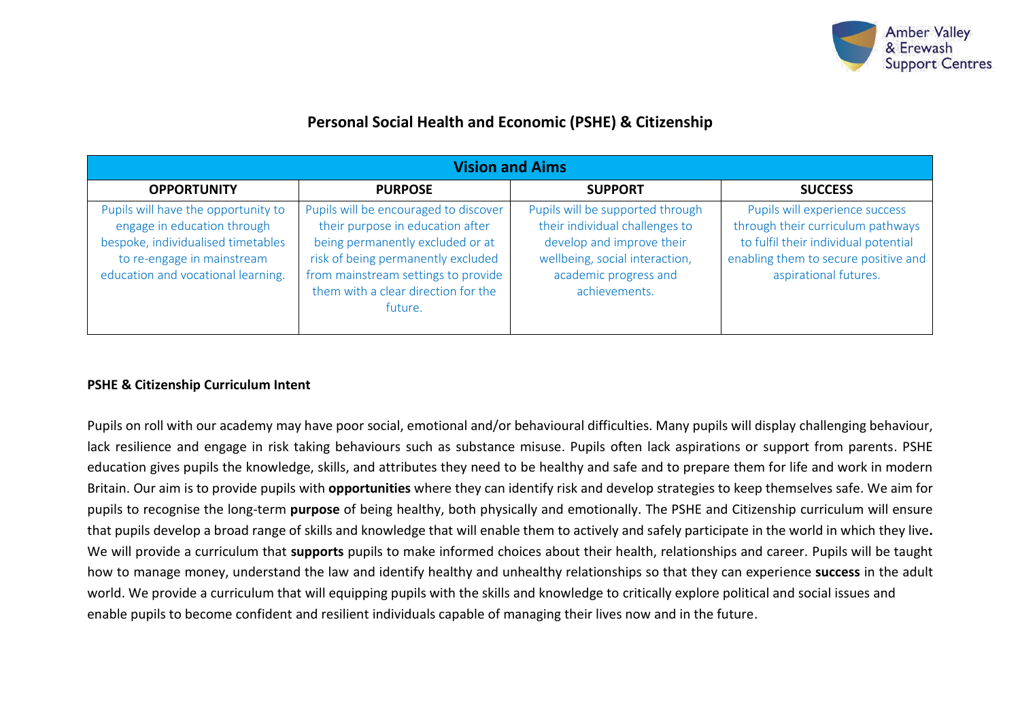

# **Personal Social Health and Economic (PSHE) & Citizenship**

| <b>Vision and Aims</b>                                                                                                                                                       |                                                                                                                                                                                                                                              |                                                                                                                                                                             |                                                                                                                                                                              |  |  |
|------------------------------------------------------------------------------------------------------------------------------------------------------------------------------|----------------------------------------------------------------------------------------------------------------------------------------------------------------------------------------------------------------------------------------------|-----------------------------------------------------------------------------------------------------------------------------------------------------------------------------|------------------------------------------------------------------------------------------------------------------------------------------------------------------------------|--|--|
| <b>OPPORTUNITY</b>                                                                                                                                                           | <b>PURPOSE</b>                                                                                                                                                                                                                               | <b>SUPPORT</b>                                                                                                                                                              | <b>SUCCESS</b>                                                                                                                                                               |  |  |
| Pupils will have the opportunity to<br>engage in education through<br>bespoke, individualised timetables<br>to re-engage in mainstream<br>education and vocational learning. | Pupils will be encouraged to discover<br>their purpose in education after<br>being permanently excluded or at<br>risk of being permanently excluded<br>from mainstream settings to provide<br>them with a clear direction for the<br>future. | Pupils will be supported through<br>their individual challenges to<br>develop and improve their<br>wellbeing, social interaction,<br>academic progress and<br>achievements. | Pupils will experience success<br>through their curriculum pathways<br>to fulfil their individual potential<br>enabling them to secure positive and<br>aspirational futures. |  |  |

### **PSHE & Citizenship Curriculum Intent**

Pupils on roll with our academy may have poor social, emotional and/or behavioural difficulties. Many pupils will display challenging behaviour, lack resilience and engage in risk taking behaviours such as substance misuse. Pupils often lack aspirations or support from parents. PSHE education gives pupils the knowledge, skills, and attributes they need to be healthy and safe and to prepare them for life and work in modern Britain. Our aim is to provide pupils with **opportunities** where they can identify risk and develop strategies to keep themselves safe. We aim for pupils to recognise the long-term **purpose** of being healthy, both physically and emotionally. The PSHE and Citizenship curriculum will ensure that pupils develop a broad range of skills and knowledge that will enable them to actively and safely participate in the world in which they live**.**  We will provide a curriculum that **supports** pupils to make informed choices about their health, relationships and career. Pupils will be taught how to manage money, understand the law and identify healthy and unhealthy relationships so that they can experience **success** in the adult world. We provide a curriculum that will equipping pupils with the skills and knowledge to critically explore political and social issues and enable pupils to become confident and resilient individuals capable of managing their lives now and in the future.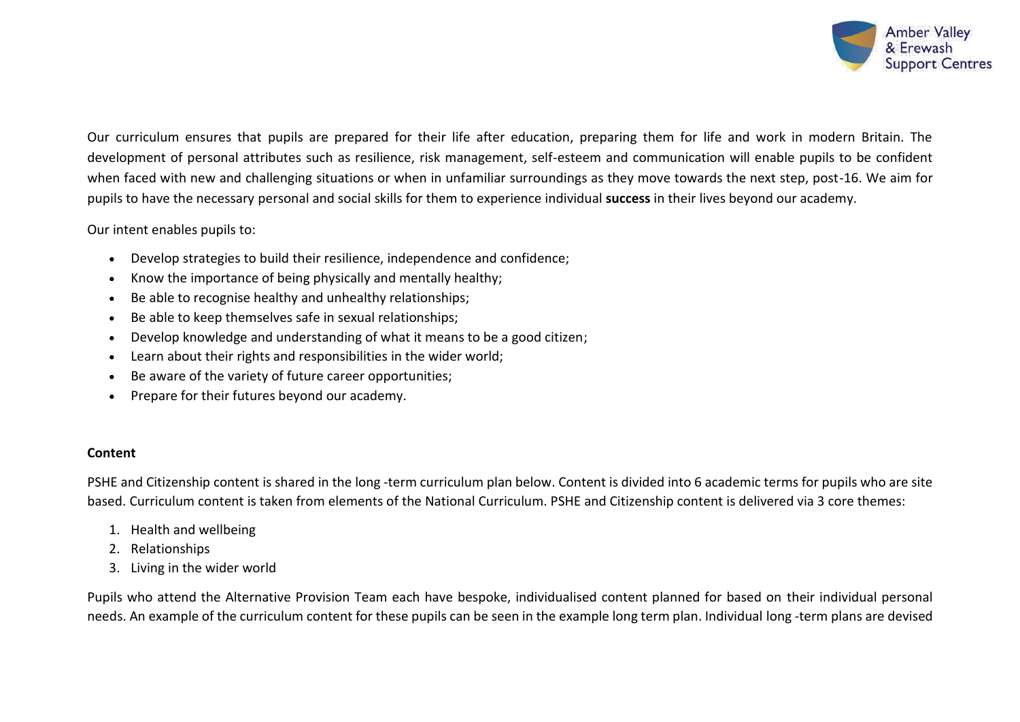

Our curriculum ensures that pupils are prepared for their life after education, preparing them for life and work in modern Britain. The development of personal attributes such as resilience, risk management, self-esteem and communication will enable pupils to be confident when faced with new and challenging situations or when in unfamiliar surroundings as they move towards the next step, post-16. We aim for pupils to have the necessary personal and social skills for them to experience individual **success** in their lives beyond our academy.

#### Our intent enables pupils to:

- Develop strategies to build their resilience, independence and confidence;
- Know the importance of being physically and mentally healthy;
- Be able to recognise healthy and unhealthy relationships;
- Be able to keep themselves safe in sexual relationships;
- Develop knowledge and understanding of what it means to be a good citizen;
- Learn about their rights and responsibilities in the wider world;
- Be aware of the variety of future career opportunities;
- Prepare for their futures beyond our academy.

#### **Content**

PSHE and Citizenship content is shared in the long -term curriculum plan below. Content is divided into 6 academic terms for pupils who are site based. Curriculum content is taken from elements of the National Curriculum. PSHE and Citizenship content is delivered via 3 core themes:

- 1. Health and wellbeing
- 2. Relationships
- 3. Living in the wider world

Pupils who attend the Alternative Provision Team each have bespoke, individualised content planned for based on their individual personal needs. An example of the curriculum content for these pupils can be seen in the example long term plan. Individual long -term plans are devised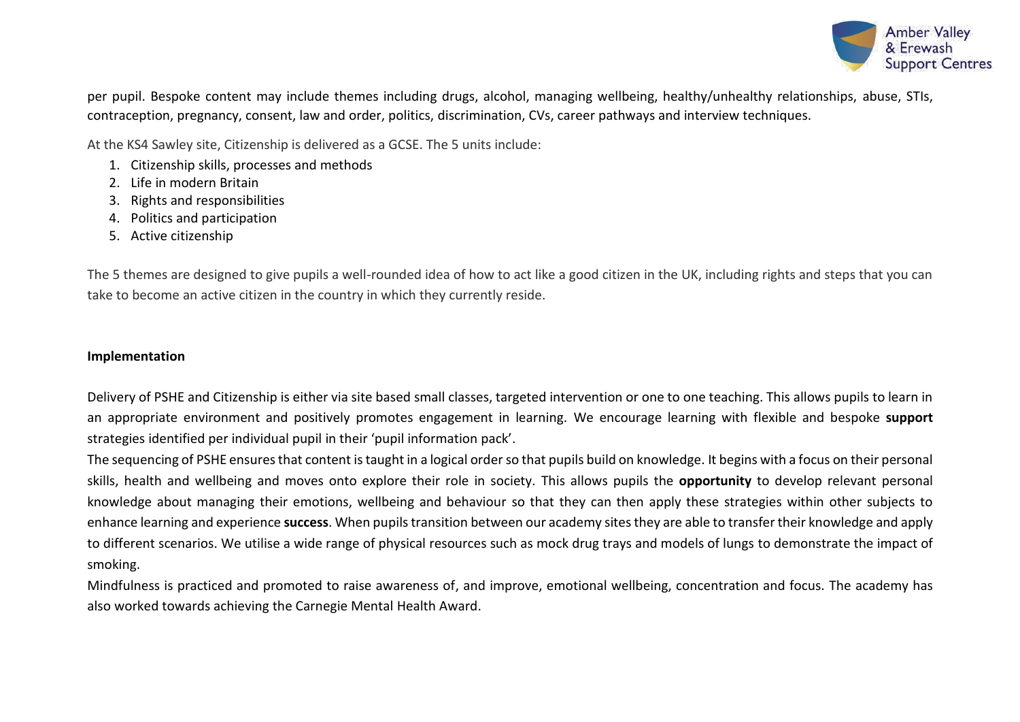

per pupil. Bespoke content may include themes including drugs, alcohol, managing wellbeing, healthy/unhealthy relationships, abuse, STIs, contraception, pregnancy, consent, law and order, politics, discrimination, CVs, career pathways and interview techniques.

At the KS4 Sawley site, Citizenship is delivered as a GCSE. The 5 units include:

- 1. Citizenship skills, processes and methods
- 2. Life in modern Britain
- 3. Rights and responsibilities
- 4. Politics and participation
- 5. Active citizenship

The 5 themes are designed to give pupils a well-rounded idea of how to act like a good citizen in the UK, including rights and steps that you can take to become an active citizen in the country in which they currently reside.

## **Implementation**

Delivery of PSHE and Citizenship is either via site based small classes, targeted intervention or one to one teaching. This allows pupils to learn in an appropriate environment and positively promotes engagement in learning. We encourage learning with flexible and bespoke **support** strategies identified per individual pupil in their 'pupil information pack'.

The sequencing of PSHE ensures that content is taught in a logical order so that pupils build on knowledge. It begins with a focus on their personal skills, health and wellbeing and moves onto explore their role in society. This allows pupils the **opportunity** to develop relevant personal knowledge about managing their emotions, wellbeing and behaviour so that they can then apply these strategies within other subjects to enhance learning and experience **success**. When pupils transition between our academy sites they are able to transfer their knowledge and apply to different scenarios. We utilise a wide range of physical resources such as mock drug trays and models of lungs to demonstrate the impact of smoking.

Mindfulness is practiced and promoted to raise awareness of, and improve, emotional wellbeing, concentration and focus. The academy has also worked towards achieving the Carnegie Mental Health Award.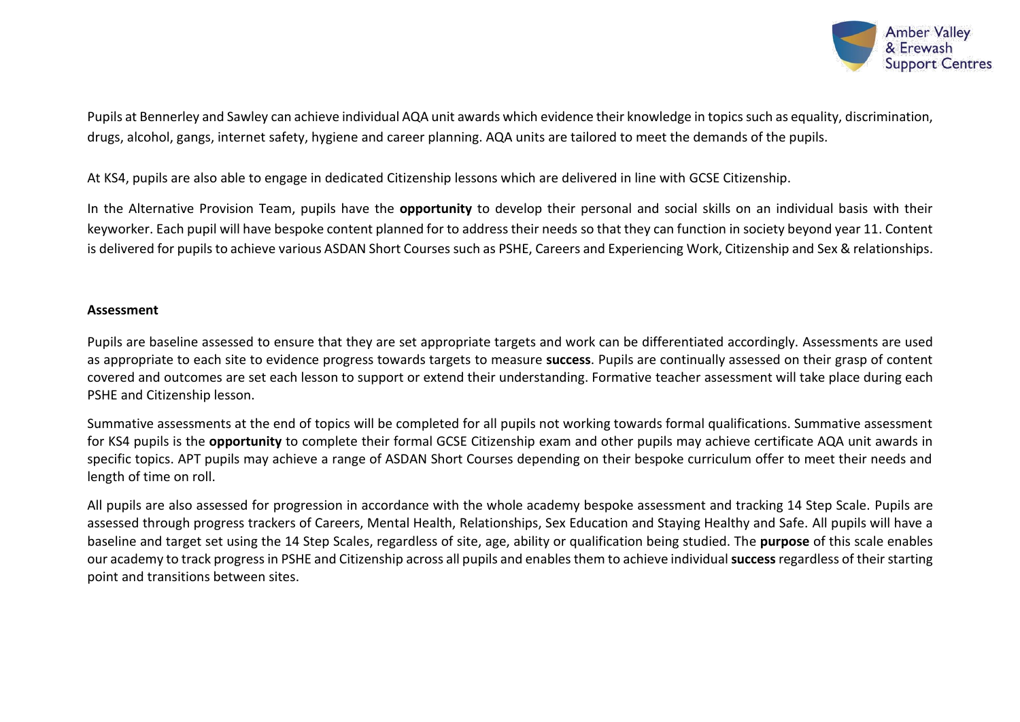

Pupils at Bennerley and Sawley can achieve individual AQA unit awards which evidence their knowledge in topics such as equality, discrimination, drugs, alcohol, gangs, internet safety, hygiene and career planning. AQA units are tailored to meet the demands of the pupils.

At KS4, pupils are also able to engage in dedicated Citizenship lessons which are delivered in line with GCSE Citizenship.

In the Alternative Provision Team, pupils have the **opportunity** to develop their personal and social skills on an individual basis with their keyworker. Each pupil will have bespoke content planned for to address their needs so that they can function in society beyond year 11. Content is delivered for pupils to achieve various ASDAN Short Courses such as PSHE, Careers and Experiencing Work, Citizenship and Sex & relationships.

#### **Assessment**

Pupils are baseline assessed to ensure that they are set appropriate targets and work can be differentiated accordingly. Assessments are used as appropriate to each site to evidence progress towards targets to measure **success**. Pupils are continually assessed on their grasp of content covered and outcomes are set each lesson to support or extend their understanding. Formative teacher assessment will take place during each PSHE and Citizenship lesson.

Summative assessments at the end of topics will be completed for all pupils not working towards formal qualifications. Summative assessment for KS4 pupils is the **opportunity** to complete their formal GCSE Citizenship exam and other pupils may achieve certificate AQA unit awards in specific topics. APT pupils may achieve a range of ASDAN Short Courses depending on their bespoke curriculum offer to meet their needs and length of time on roll.

All pupils are also assessed for progression in accordance with the whole academy bespoke assessment and tracking 14 Step Scale. Pupils are assessed through progress trackers of Careers, Mental Health, Relationships, Sex Education and Staying Healthy and Safe. All pupils will have a baseline and target set using the 14 Step Scales, regardless of site, age, ability or qualification being studied. The **purpose** of this scale enables our academy to track progress in PSHE and Citizenship across all pupils and enables them to achieve individual **success**regardless of their starting point and transitions between sites.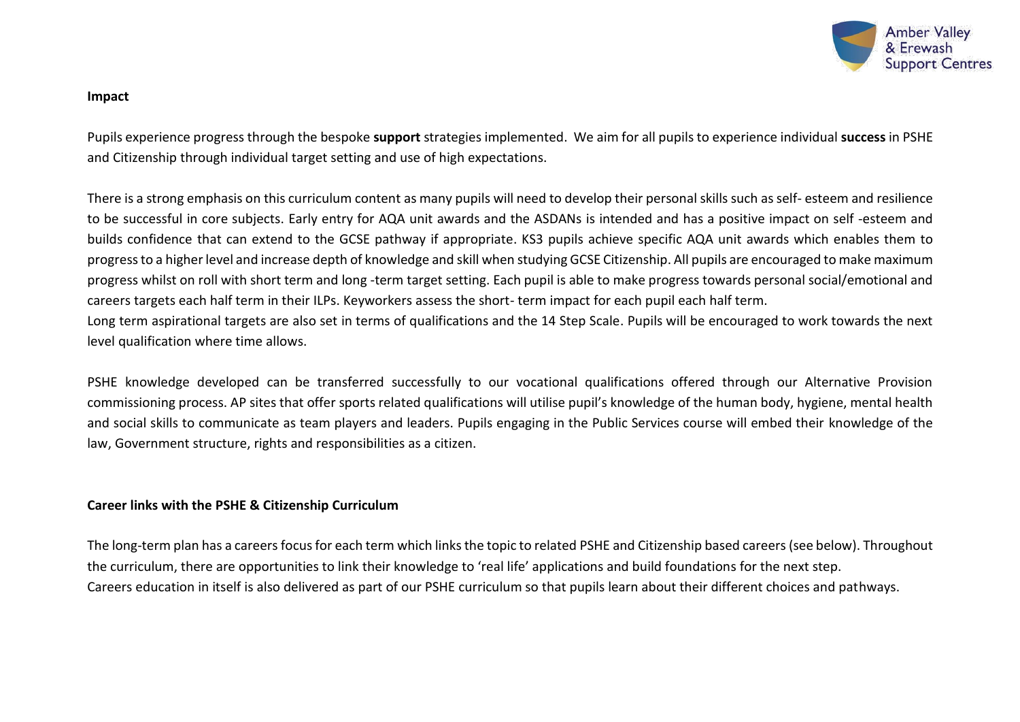

#### **Impact**

Pupils experience progress through the bespoke **support** strategies implemented. We aim for all pupils to experience individual **success** in PSHE and Citizenship through individual target setting and use of high expectations.

There is a strong emphasis on this curriculum content as many pupils will need to develop their personal skills such as self- esteem and resilience to be successful in core subjects. Early entry for AQA unit awards and the ASDANs is intended and has a positive impact on self -esteem and builds confidence that can extend to the GCSE pathway if appropriate. KS3 pupils achieve specific AQA unit awards which enables them to progress to a higher level and increase depth of knowledge and skill when studying GCSE Citizenship. All pupils are encouraged to make maximum progress whilst on roll with short term and long -term target setting. Each pupil is able to make progress towards personal social/emotional and careers targets each half term in their ILPs. Keyworkers assess the short- term impact for each pupil each half term. Long term aspirational targets are also set in terms of qualifications and the 14 Step Scale. Pupils will be encouraged to work towards the next level qualification where time allows.

PSHE knowledge developed can be transferred successfully to our vocational qualifications offered through our Alternative Provision commissioning process. AP sites that offer sports related qualifications will utilise pupil's knowledge of the human body, hygiene, mental health and social skills to communicate as team players and leaders. Pupils engaging in the Public Services course will embed their knowledge of the law, Government structure, rights and responsibilities as a citizen.

### **Career links with the PSHE & Citizenship Curriculum**

The long-term plan has a careers focus for each term which links the topic to related PSHE and Citizenship based careers (see below). Throughout the curriculum, there are opportunities to link their knowledge to 'real life' applications and build foundations for the next step. Careers education in itself is also delivered as part of our PSHE curriculum so that pupils learn about their different choices and pathways.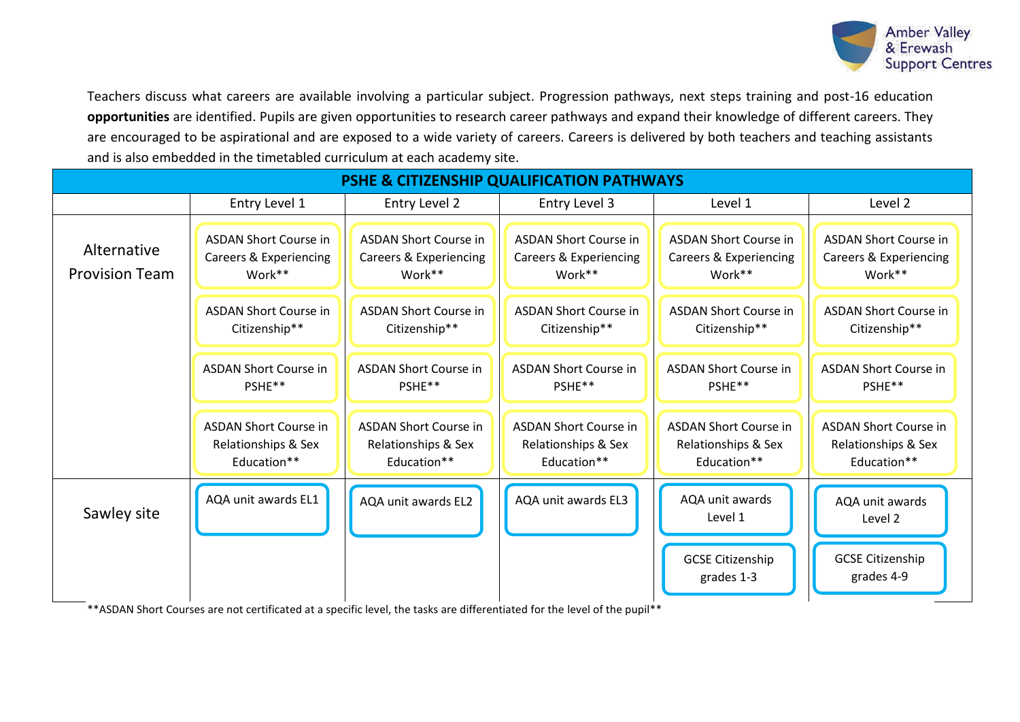

Teachers discuss what careers are available involving a particular subject. Progression pathways, next steps training and post-16 education **opportunities** are identified. Pupils are given opportunities to research career pathways and expand their knowledge of different careers. They are encouraged to be aspirational and are exposed to a wide variety of careers. Careers is delivered by both teachers and teaching assistants and is also embedded in the timetabled curriculum at each academy site.

| <b>PSHE &amp; CITIZENSHIP QUALIFICATION PATHWAYS</b> |                                                                    |                                                                    |                                                                    |                                                                             |                                                                    |
|------------------------------------------------------|--------------------------------------------------------------------|--------------------------------------------------------------------|--------------------------------------------------------------------|-----------------------------------------------------------------------------|--------------------------------------------------------------------|
|                                                      | Entry Level 1                                                      | Entry Level 2                                                      | Entry Level 3                                                      | Level 1                                                                     | Level 2                                                            |
| Alternative<br><b>Provision Team</b>                 | <b>ASDAN Short Course in</b><br>Careers & Experiencing<br>Work**   | <b>ASDAN Short Course in</b><br>Careers & Experiencing<br>Work**   | <b>ASDAN Short Course in</b><br>Careers & Experiencing<br>Work**   | <b>ASDAN Short Course in</b><br><b>Careers &amp; Experiencing</b><br>Work** | <b>ASDAN Short Course in</b><br>Careers & Experiencing<br>Work**   |
|                                                      | <b>ASDAN Short Course in</b><br>Citizenship**                      | <b>ASDAN Short Course in</b><br>Citizenship**                      | <b>ASDAN Short Course in</b><br>Citizenship**                      | <b>ASDAN Short Course in</b><br>Citizenship**                               | <b>ASDAN Short Course in</b><br>Citizenship**                      |
|                                                      | <b>ASDAN Short Course in</b><br>PSHE**                             | <b>ASDAN Short Course in</b><br>PSHE**                             | <b>ASDAN Short Course in</b><br>PSHE**                             | <b>ASDAN Short Course in</b><br>PSHE**                                      | <b>ASDAN Short Course in</b><br>PSHE**                             |
|                                                      | <b>ASDAN Short Course in</b><br>Relationships & Sex<br>Education** | <b>ASDAN Short Course in</b><br>Relationships & Sex<br>Education** | <b>ASDAN Short Course in</b><br>Relationships & Sex<br>Education** | <b>ASDAN Short Course in</b><br>Relationships & Sex<br>Education**          | <b>ASDAN Short Course in</b><br>Relationships & Sex<br>Education** |
| Sawley site                                          | AQA unit awards EL1                                                | AQA unit awards EL2                                                | AQA unit awards EL3                                                | AQA unit awards<br>Level 1                                                  | AQA unit awards<br>Level 2                                         |
|                                                      |                                                                    |                                                                    |                                                                    | <b>GCSE Citizenship</b><br>grades 1-3                                       | <b>GCSE Citizenship</b><br>grades 4-9                              |

\*\*ASDAN Short Courses are not certificated at a specific level, the tasks are differentiated for the level of the pupil\*\*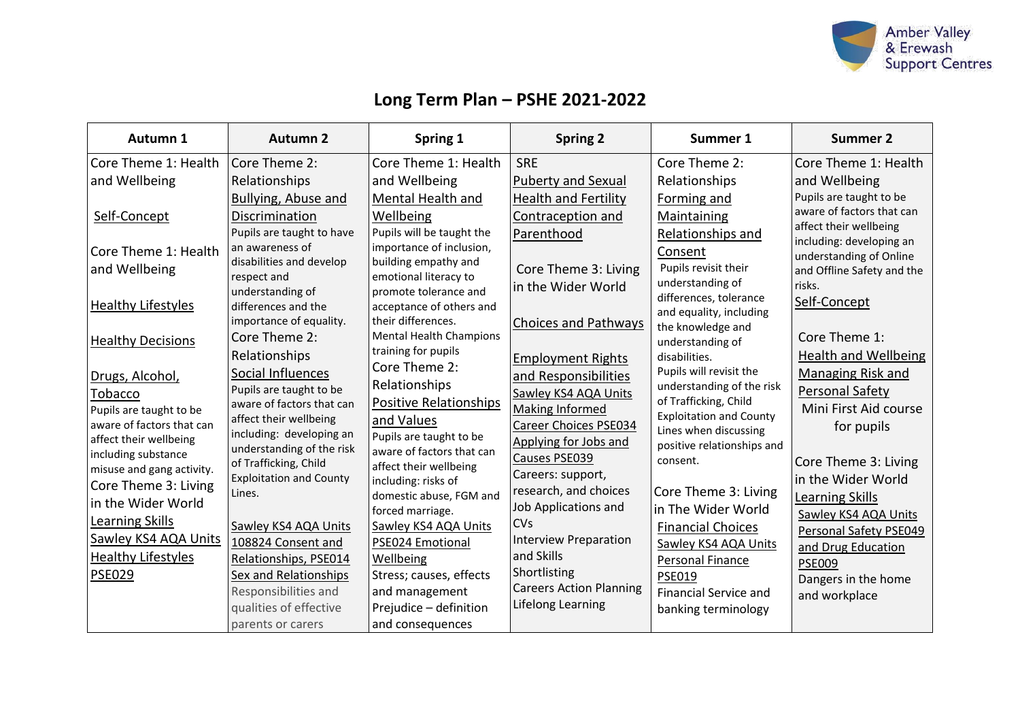

# **Long Term Plan – PSHE 2021-2022**

| Autumn 1                                                                                       | <b>Autumn 2</b>                                                                                                                         | Spring 1                                                                                                                                 | <b>Spring 2</b>                                                                        | Summer 1                                                                                                      | Summer 2                                                                                                                                                            |
|------------------------------------------------------------------------------------------------|-----------------------------------------------------------------------------------------------------------------------------------------|------------------------------------------------------------------------------------------------------------------------------------------|----------------------------------------------------------------------------------------|---------------------------------------------------------------------------------------------------------------|---------------------------------------------------------------------------------------------------------------------------------------------------------------------|
| Core Theme 1: Health<br>and Wellbeing                                                          | Core Theme 2:<br>Relationships                                                                                                          | Core Theme 1: Health<br>and Wellbeing                                                                                                    | <b>SRE</b><br><b>Puberty and Sexual</b>                                                | Core Theme 2:<br>Relationships                                                                                | Core Theme 1: Health<br>and Wellbeing                                                                                                                               |
| Self-Concept<br>Core Theme 1: Health<br>and Wellbeing                                          | <b>Bullying, Abuse and</b><br>Discrimination<br>Pupils are taught to have<br>an awareness of<br>disabilities and develop<br>respect and | Mental Health and<br>Wellbeing<br>Pupils will be taught the<br>importance of inclusion,<br>building empathy and<br>emotional literacy to | <b>Health and Fertility</b><br>Contraception and<br>Parenthood<br>Core Theme 3: Living | Forming and<br><b>Maintaining</b><br>Relationships and<br>Consent<br>Pupils revisit their                     | Pupils are taught to be<br>aware of factors that can<br>affect their wellbeing<br>including: developing an<br>understanding of Online<br>and Offline Safety and the |
| <b>Healthy Lifestyles</b>                                                                      | understanding of<br>differences and the<br>importance of equality.                                                                      | promote tolerance and<br>acceptance of others and<br>their differences.                                                                  | in the Wider World<br>Choices and Pathways                                             | understanding of<br>differences, tolerance<br>and equality, including<br>the knowledge and                    | risks.<br>Self-Concept                                                                                                                                              |
| <b>Healthy Decisions</b><br>Drugs, Alcohol,                                                    | Core Theme 2:<br>Relationships<br>Social Influences                                                                                     | <b>Mental Health Champions</b><br>training for pupils<br>Core Theme 2:                                                                   | <b>Employment Rights</b><br>and Responsibilities                                       | understanding of<br>disabilities.<br>Pupils will revisit the                                                  | Core Theme 1:<br><b>Health and Wellbeing</b><br>Managing Risk and                                                                                                   |
| Tobacco<br>Pupils are taught to be<br>aware of factors that can<br>affect their wellbeing      | Pupils are taught to be<br>aware of factors that can<br>affect their wellbeing<br>including: developing an                              | Relationships<br><b>Positive Relationships</b><br>and Values<br>Pupils are taught to be                                                  | Sawley KS4 AQA Units<br><b>Making Informed</b><br><b>Career Choices PSE034</b>         | understanding of the risk<br>of Trafficking, Child<br><b>Exploitation and County</b><br>Lines when discussing | Personal Safety<br>Mini First Aid course<br>for pupils                                                                                                              |
| including substance<br>misuse and gang activity.<br>Core Theme 3: Living<br>in the Wider World | understanding of the risk<br>of Trafficking, Child<br><b>Exploitation and County</b><br>Lines.                                          | aware of factors that can<br>affect their wellbeing<br>including: risks of<br>domestic abuse, FGM and                                    | Applying for Jobs and<br>Causes PSE039<br>Careers: support,<br>research, and choices   | positive relationships and<br>consent.<br>Core Theme 3: Living                                                | Core Theme 3: Living<br>in the Wider World<br><b>Learning Skills</b>                                                                                                |
| Learning Skills<br>Sawley KS4 AQA Units<br><b>Healthy Lifestyles</b>                           | Sawley KS4 AQA Units<br>108824 Consent and<br>Relationships, PSE014                                                                     | forced marriage.<br>Sawley KS4 AQA Units<br>PSE024 Emotional<br>Wellbeing                                                                | Job Applications and<br><b>CVs</b><br><b>Interview Preparation</b><br>and Skills       | in The Wider World<br><b>Financial Choices</b><br>Sawley KS4 AQA Units<br><b>Personal Finance</b>             | Sawley KS4 AQA Units<br>Personal Safety PSE049<br>and Drug Education                                                                                                |
| <b>PSE029</b>                                                                                  | Sex and Relationships<br>Responsibilities and<br>qualities of effective<br>parents or carers                                            | Stress; causes, effects<br>and management<br>Prejudice - definition<br>and consequences                                                  | Shortlisting<br><b>Careers Action Planning</b><br>Lifelong Learning                    | <b>PSE019</b><br><b>Financial Service and</b><br>banking terminology                                          | <b>PSE009</b><br>Dangers in the home<br>and workplace                                                                                                               |